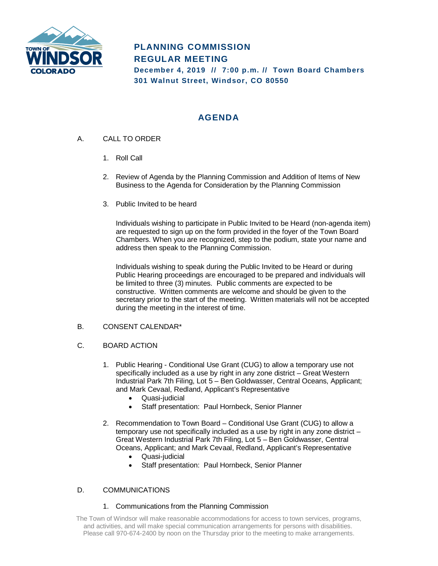

# **PLANNING COMMISSION REGULAR MEETING December 4, 2019 // 7:00 p.m. // Town Board Chambers**

**301 Walnut Street, Windsor, CO 80550**

## **AGENDA**

- A. CALL TO ORDER
	- 1. Roll Call
	- 2. Review of Agenda by the Planning Commission and Addition of Items of New Business to the Agenda for Consideration by the Planning Commission
	- 3. Public Invited to be heard

Individuals wishing to participate in Public Invited to be Heard (non-agenda item) are requested to sign up on the form provided in the foyer of the Town Board Chambers. When you are recognized, step to the podium, state your name and address then speak to the Planning Commission.

Individuals wishing to speak during the Public Invited to be Heard or during Public Hearing proceedings are encouraged to be prepared and individuals will be limited to three (3) minutes. Public comments are expected to be constructive. Written comments are welcome and should be given to the secretary prior to the start of the meeting. Written materials will not be accepted during the meeting in the interest of time.

## B. CONSENT CALENDAR\*

- C. BOARD ACTION
	- 1. Public Hearing Conditional Use Grant (CUG) to allow a temporary use not specifically included as a use by right in any zone district – Great Western Industrial Park 7th Filing, Lot 5 – Ben Goldwasser, Central Oceans, Applicant; and Mark Cevaal, Redland, Applicant's Representative
		- Quasi-judicial
		- Staff presentation: Paul Hornbeck, Senior Planner
	- 2. Recommendation to Town Board Conditional Use Grant (CUG) to allow a temporary use not specifically included as a use by right in any zone district – Great Western Industrial Park 7th Filing, Lot 5 – Ben Goldwasser, Central Oceans, Applicant; and Mark Cevaal, Redland, Applicant's Representative
		- Quasi-judicial
		- Staff presentation: Paul Hornbeck, Senior Planner

## D. COMMUNICATIONS

### 1. Communications from the Planning Commission

The Town of Windsor will make reasonable accommodations for access to town services, programs, and activities, and will make special communication arrangements for persons with disabilities. Please call 970-674-2400 by noon on the Thursday prior to the meeting to make arrangements.